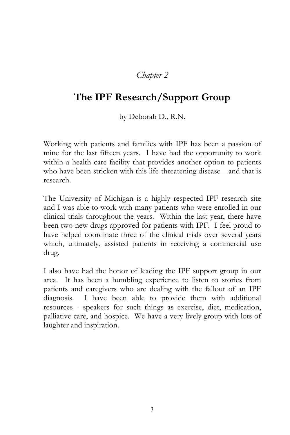## *Chapter 2*

## **The IPF Research/Support Group**

by Deborah D., R.N.

Working with patients and families with IPF has been a passion of mine for the last fifteen years. I have had the opportunity to work within a health care facility that provides another option to patients who have been stricken with this life-threatening disease—and that is research.

The University of Michigan is a highly respected IPF research site and I was able to work with many patients who were enrolled in our clinical trials throughout the years. Within the last year, there have been two new drugs approved for patients with IPF. I feel proud to have helped coordinate three of the clinical trials over several years which, ultimately, assisted patients in receiving a commercial use drug.

I also have had the honor of leading the IPF support group in our area. It has been a humbling experience to listen to stories from patients and caregivers who are dealing with the fallout of an IPF diagnosis. I have been able to provide them with additional resources - speakers for such things as exercise, diet, medication, palliative care, and hospice. We have a very lively group with lots of laughter and inspiration.